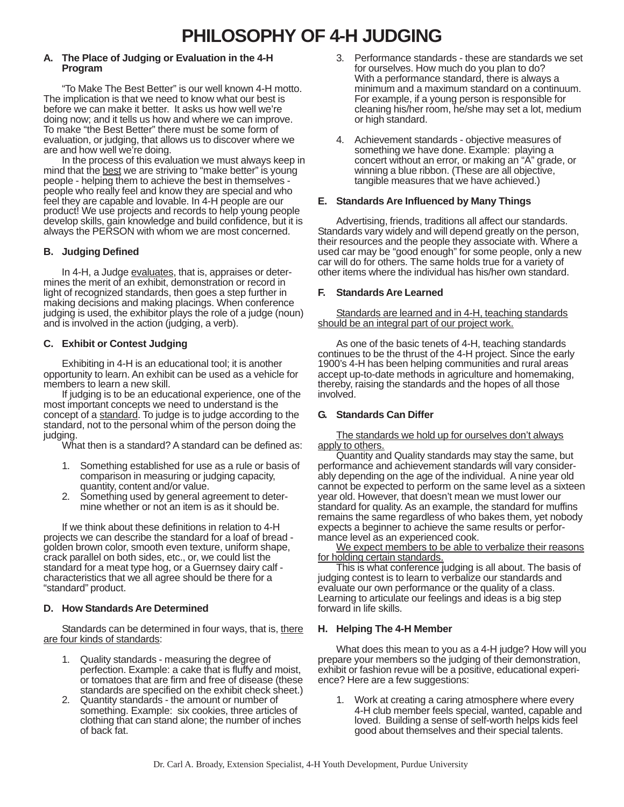## **A. The Place of Judging or Evaluation in the 4-H Program**

"To Make The Best Better" is our well known 4-H motto. The implication is that we need to know what our best is before we can make it better. It asks us how well we're doing now; and it tells us how and where we can improve. To make "the Best Better" there must be some form of evaluation, or judging, that allows us to discover where we are and how well we're doing.

In the process of this evaluation we must always keep in mind that the best we are striving to "make better" is young people - helping them to achieve the best in themselves people who really feel and know they are special and who feel they are capable and lovable. In 4-H people are our product! We use projects and records to help young people develop skills, gain knowledge and build confidence, but it is always the PERSON with whom we are most concerned.

# **B. Judging Defined**

In 4-H, a Judge evaluates, that is, appraises or determines the merit of an exhibit, demonstration or record in light of recognized standards, then goes a step further in making decisions and making placings. When conference judging is used, the exhibitor plays the role of a judge (noun) and is involved in the action (judging, a verb).

# **C. Exhibit or Contest Judging**

Exhibiting in 4-H is an educational tool; it is another opportunity to learn. An exhibit can be used as a vehicle for members to learn a new skill.

If judging is to be an educational experience, one of the most important concepts we need to understand is the concept of a standard. To judge is to judge according to the standard, not to the personal whim of the person doing the judging.

What then is a standard? A standard can be defined as:

- 1. Something established for use as a rule or basis of comparison in measuring or judging capacity, quantity, content and/or value.
- 2. Something used by general agreement to determine whether or not an item is as it should be.

If we think about these definitions in relation to 4-H projects we can describe the standard for a loaf of bread golden brown color, smooth even texture, uniform shape, crack parallel on both sides, etc., or, we could list the standard for a meat type hog, or a Guernsey dairy calf characteristics that we all agree should be there for a "standard" product.

## **D. How Standards Are Determined**

Standards can be determined in four ways, that is, there are four kinds of standards:

- 1. Quality standards measuring the degree of perfection. Example: a cake that is fluffy and moist, or tomatoes that are firm and free of disease (these standards are specified on the exhibit check sheet.)
- 2. Quantity standards the amount or number of something. Example: six cookies, three articles of clothing that can stand alone; the number of inches of back fat.
- 3. Performance standards these are standards we set for ourselves. How much do you plan to do? With a performance standard, there is always a minimum and a maximum standard on a continuum. For example, if a young person is responsible for cleaning his/her room, he/she may set a lot, medium or high standard.
- 4. Achievement standards objective measures of something we have done. Example: playing a concert without an error, or making an "A" grade, or winning a blue ribbon. (These are all objective, tangible measures that we have achieved.)

### **E. Standards Are Influenced by Many Things**

Advertising, friends, traditions all affect our standards. Standards vary widely and will depend greatly on the person, their resources and the people they associate with. Where a used car may be "good enough" for some people, only a new car will do for others. The same holds true for a variety of other items where the individual has his/her own standard.

## **F. Standards Are Learned**

Standards are learned and in 4-H, teaching standards should be an integral part of our project work.

As one of the basic tenets of 4-H, teaching standards continues to be the thrust of the 4-H project. Since the early 1900's 4-H has been helping communities and rural areas accept up-to-date methods in agriculture and homemaking, thereby, raising the standards and the hopes of all those involved.

## **G. Standards Can Differ**

The standards we hold up for ourselves don't always apply to others.

Quantity and Quality standards may stay the same, but performance and achievement standards will vary considerably depending on the age of the individual. A nine year old cannot be expected to perform on the same level as a sixteen year old. However, that doesn't mean we must lower our standard for quality. As an example, the standard for muffins remains the same regardless of who bakes them, yet nobody expects a beginner to achieve the same results or performance level as an experienced cook.

We expect members to be able to verbalize their reasons for holding certain standards.

This is what conference judging is all about. The basis of judging contest is to learn to verbalize our standards and evaluate our own performance or the quality of a class. Learning to articulate our feelings and ideas is a big step forward in life skills.

## **H. Helping The 4-H Member**

What does this mean to you as a 4-H judge? How will you prepare your members so the judging of their demonstration, exhibit or fashion revue will be a positive, educational experience? Here are a few suggestions:

1. Work at creating a caring atmosphere where every 4-H club member feels special, wanted, capable and loved. Building a sense of self-worth helps kids feel good about themselves and their special talents.